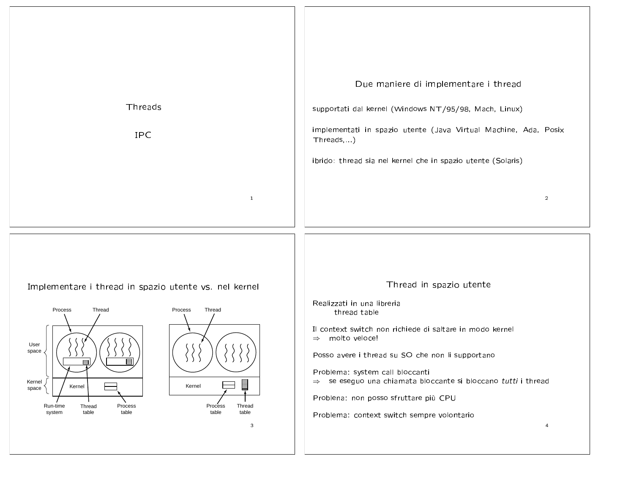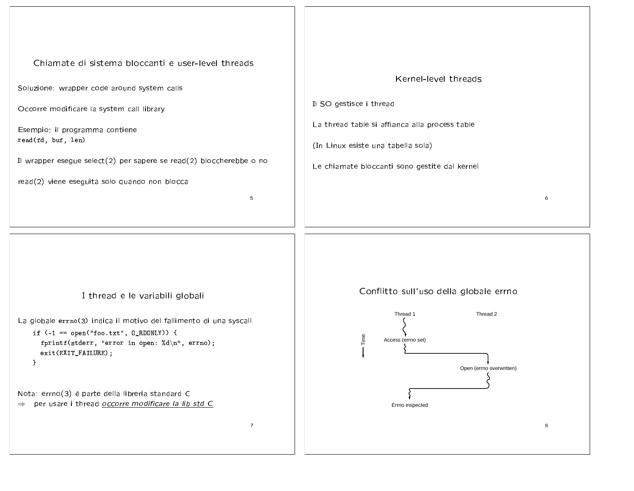## Chiamate di sistema bloccanti e user-level threads

Soluzione: wrapper code around system calls

Occorre modificare la system call library

Esempio: il programma contiene read(fd, buf, len)

Il wrapper esegue select(2) per sapere se read(2) bloccherebbe o no

read(2) viene eseguita solo quando non blocca

5

## Kernel-level threads Il SO gestisce i thread La thread table si affianca alla process table (In Linux esiste una tabella sola) Le chiamate bloccanti sono gestite dal kernel







8

6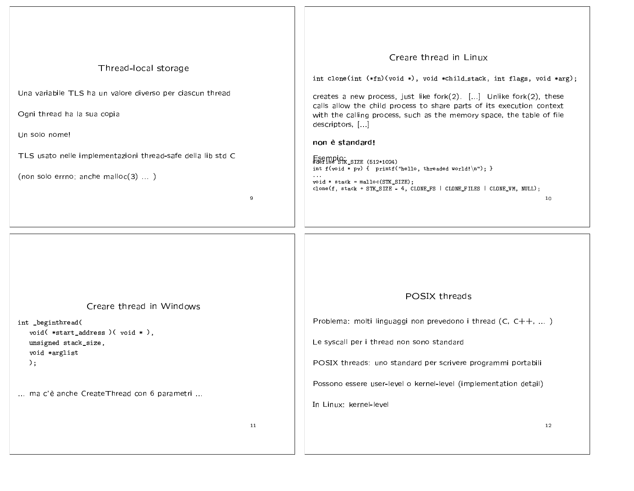| Thread-local storage<br>Una variabile TLS ha un valore diverso per ciascun thread<br>Ogni thread ha la sua copia<br>Un solo nome!<br>TLS usato nelle implementazioni thread-safe della lib std C<br>(non solo errno; anche malloc $(3)$ )<br>9 | Creare thread in Linux<br>int clone(int (*fn)(void *), void *child_stack, int flags, void *arg);<br>creates a new process, just like fork(2). [] Unlike fork(2), these<br>calls allow the child process to share parts of its execution context<br>with the calling process, such as the memory space, the table of file<br>descriptors, []<br>non è standard!<br>Esempio<br>#define STK_SIZE (512*1024)<br>int f(void * pv) { printf("hello, threaded world! $\langle n'' \rangle$ ; }<br>$\cdots$<br>$void * stack = mailoc(STK_SIZE);$<br>clone(f, stack + STK_SIZE - 4, CLONE_FS   CLONE_FILES   CLONE_VM, NULL);<br>10 |
|------------------------------------------------------------------------------------------------------------------------------------------------------------------------------------------------------------------------------------------------|-----------------------------------------------------------------------------------------------------------------------------------------------------------------------------------------------------------------------------------------------------------------------------------------------------------------------------------------------------------------------------------------------------------------------------------------------------------------------------------------------------------------------------------------------------------------------------------------------------------------------------|
| Creare thread in Windows<br>int _beginthread(<br>void( *start_address )( void * ),<br>unsigned stack_size,<br>void *arglist<br>$)$ ;<br>ma c'è anche CreateThread con 6 parametri<br>11                                                        | POSIX threads<br>Problema: molti linguaggi non prevedono i thread (C, C++, )<br>Le syscall per i thread non sono standard<br>POSIX threads: uno standard per scrivere programmi portabili<br>Possono essere user-level o kernel-level (implementation detail)<br>In Linux: kernel-level<br>12                                                                                                                                                                                                                                                                                                                               |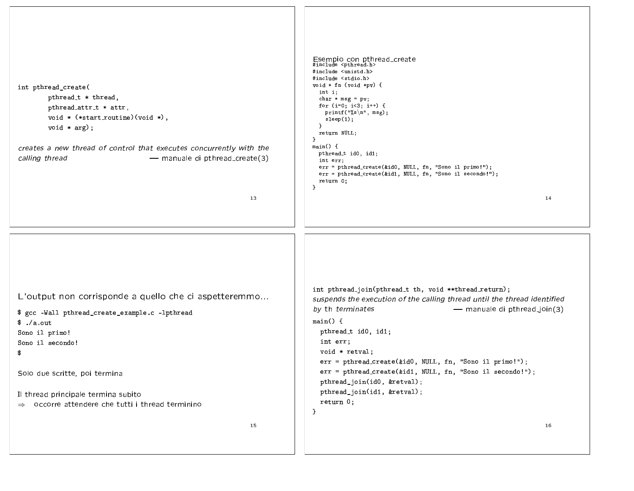| int pthread_create(<br>pthread_t * thread,<br>pthread_attr_t * attr,<br>$void * (*start_routine)(void *),$<br>$void * arg);$<br>creates a new thread of control that executes concurrently with the<br>calling thread<br>- manuale di pthread_create(3)<br>13                                                               | Esempio con pthread_create<br>#include <pthread.h><br/>#include <unistd.h><br/>#include <stdio.h><br/>void <math>*</math> fn (void <math>*</math>pv) {<br/>int i;<br/>char <math>*</math> msg = pv;<br/>for <math>(i=0; i&lt;3; i++)</math> {<br/>printf("%s\n", msg);<br/>sleep(1);<br/>}<br/>return NULL;<br/>}<br/>main()<br/>pthread_t id0, id1;<br/>int err;<br/>err = pthread_create(&amp;id0, NULL, fn, "Sono il primo!");<br/>err = pthread_create(&amp;id1, NULL, fn, "Sono il secondo!");<br/>return 0;<br/>}<br/>14</stdio.h></unistd.h></pthread.h> |
|-----------------------------------------------------------------------------------------------------------------------------------------------------------------------------------------------------------------------------------------------------------------------------------------------------------------------------|-----------------------------------------------------------------------------------------------------------------------------------------------------------------------------------------------------------------------------------------------------------------------------------------------------------------------------------------------------------------------------------------------------------------------------------------------------------------------------------------------------------------------------------------------------------------|
| L'output non corrisponde a quello che ci aspetteremmo<br>\$ gcc -Wall pthread_create_example.c -lpthread<br>$\frac{1}{2}$ ./a.out<br>Sono il primo!<br>Sono il secondo!<br>\$<br>Solo due scritte, poi termina<br>Il thread principale termina subito<br>$\Rightarrow$ occorre attendere che tutti i thread terminino<br>15 | int pthread_join(pthread_t th, void **thread_return);<br>suspends the execution of the calling thread until the thread identified<br>by th terminates<br>- manuale di pthread_join(3)<br>main() f<br>pthread_t id0, id1;<br>int err;<br>void * retval;<br>err = pthread_create(&id0, NULL, fn, "Sono il primo!");<br>err = pthread_create(&id1, NULL, fn, "Sono il secondo!");<br>pthread_join(id0, &retval);<br>pthread_join(id1, &retval);<br>return 0;<br>}<br>16                                                                                            |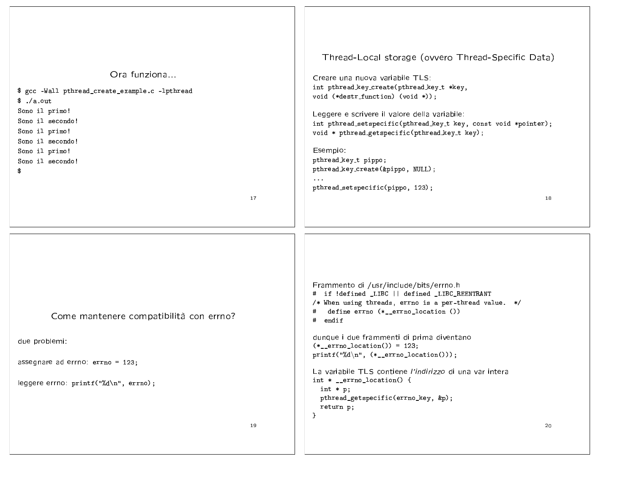| Ora funziona<br>\$ gcc -Wall pthread_create_example.c -lpthread<br>$\frac{1}{2}$ ./a.out<br>Sono il primo!<br>Sono il secondo!<br>Sono il primo!<br>Sono il secondo!<br>Sono il primo!<br>Sono il secondo!<br>\$<br>17 | Thread-Local storage (ovvero Thread-Specific Data)<br>Creare una nuova variabile TLS:<br>int pthread_key_create(pthread_key_t *key,<br>void (*destr_function) (void *));<br>Leggere e scrivere il valore della variabile:<br>int pthread_setspecific(pthread_key_t key, const void *pointer);<br>void * pthread_getspecific(pthread_key_t key);<br>Esempio:<br>pthread_key_t pippo;<br>pthread_key_create(&pippo, NULL);<br>pthread_setspecific(pippo, 123);<br>18                                                       |
|------------------------------------------------------------------------------------------------------------------------------------------------------------------------------------------------------------------------|--------------------------------------------------------------------------------------------------------------------------------------------------------------------------------------------------------------------------------------------------------------------------------------------------------------------------------------------------------------------------------------------------------------------------------------------------------------------------------------------------------------------------|
| Come mantenere compatibilità con errno?<br>due problemi:<br>assegnare ad errno: errno = 123;<br>leggere errno: printf("%d\n", errno);<br>19                                                                            | Frammento di /usr/include/bits/errno.h<br># if !defined LIBC    defined LIBC_REENTRANT<br>/* When using threads, errno is a per-thread value. */<br>define errno (*__errno_location ())<br>#<br>endif<br>#<br>dunque i due frammenti di prima diventano<br>$(*__errno__location()) = 123;$<br>printf("%d\n", $(*_errno\_location())$ ;<br>La variabile TLS contiene l'indirizzo di una var intera<br>int $*$ _errno_location() {<br>int $* p;$<br>pthread_getspecific(errno_key, &p);<br>return p;<br>$\mathbf{r}$<br>20 |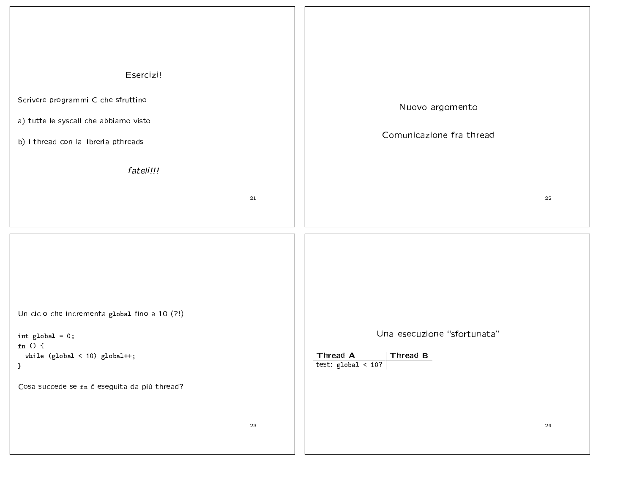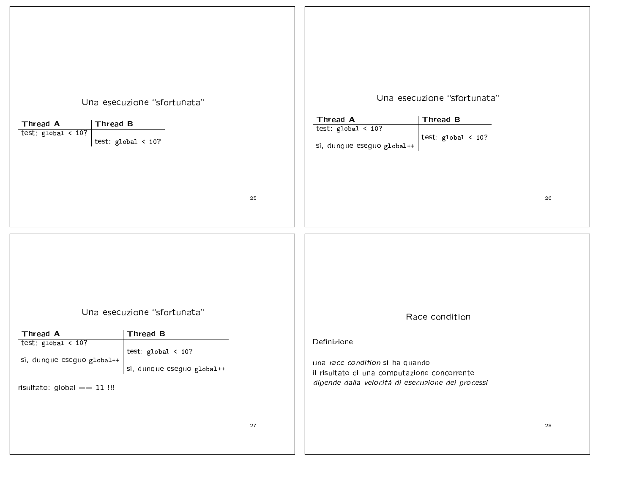| Una esecuzione "sfortunata"<br>Thread B<br>Thread A<br>test: $global < 10$ ?<br>test: $global < 10$ ?                                                                                                 | Una esecuzione "sfortunata"<br>Thread A<br>Thread B<br>test: $global < 10$ ?<br>test: $global < 10$ ?<br>sì, dunque eseguo global++                                   |
|-------------------------------------------------------------------------------------------------------------------------------------------------------------------------------------------------------|-----------------------------------------------------------------------------------------------------------------------------------------------------------------------|
| 25                                                                                                                                                                                                    | 26                                                                                                                                                                    |
|                                                                                                                                                                                                       |                                                                                                                                                                       |
| Una esecuzione "sfortunata"<br>Thread A<br>Thread B<br>test: $global < 10$ ?<br>test: $global < 10$ ?<br>sì, dunque eseguo global++<br>sì, dunque eseguo global++<br>risultato: $g$ lobal $== 11$ !!! | Race condition<br>Definizione<br>una race condition si ha quando<br>il risultato di una computazione concorrente<br>dipende dalla velocità di esecuzione dei processi |
| $27\,$                                                                                                                                                                                                | 28                                                                                                                                                                    |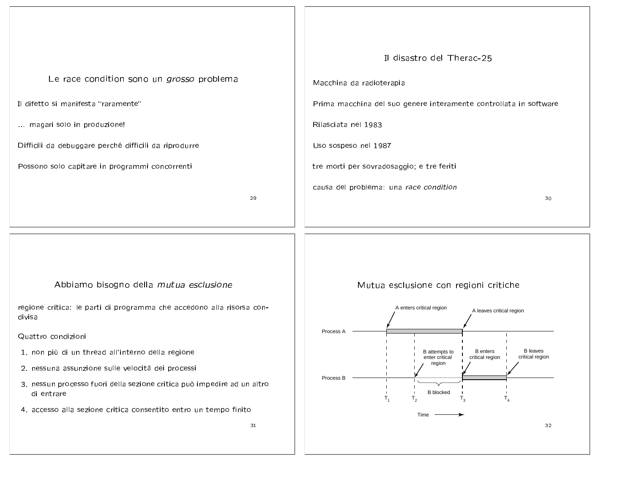المعرم المالية من المتوسط المعروف المتوسط المعرف المعروف المستقررات المستقررات المستقررات

Il difetto si manifesta "raramente"

... magari solo in produzione!

Difficili da debuggare perché difficili da riprodurre

Possono solo capitare in programmi concorrenti

29



ومنصره ومستخلص والملوط والمستحصر والمعامل

regione critica: le parti di programma che accedono alla risorsa condivisa

Quattro condizioni

- .. non più di un thread all'interno della regione
- 2. nessuna assunzione sulle velocità dei processi
- 3. nessun processo fuori della sezione critica può impedire ad un altro di entrare
- 74. accesso alla sezione critica consentito entro un tempo finito





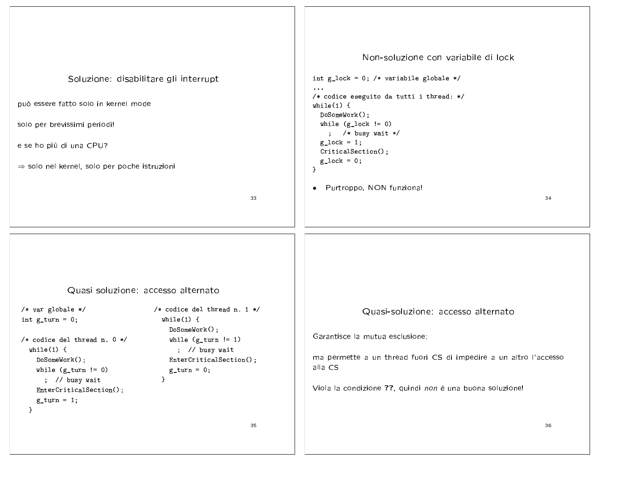